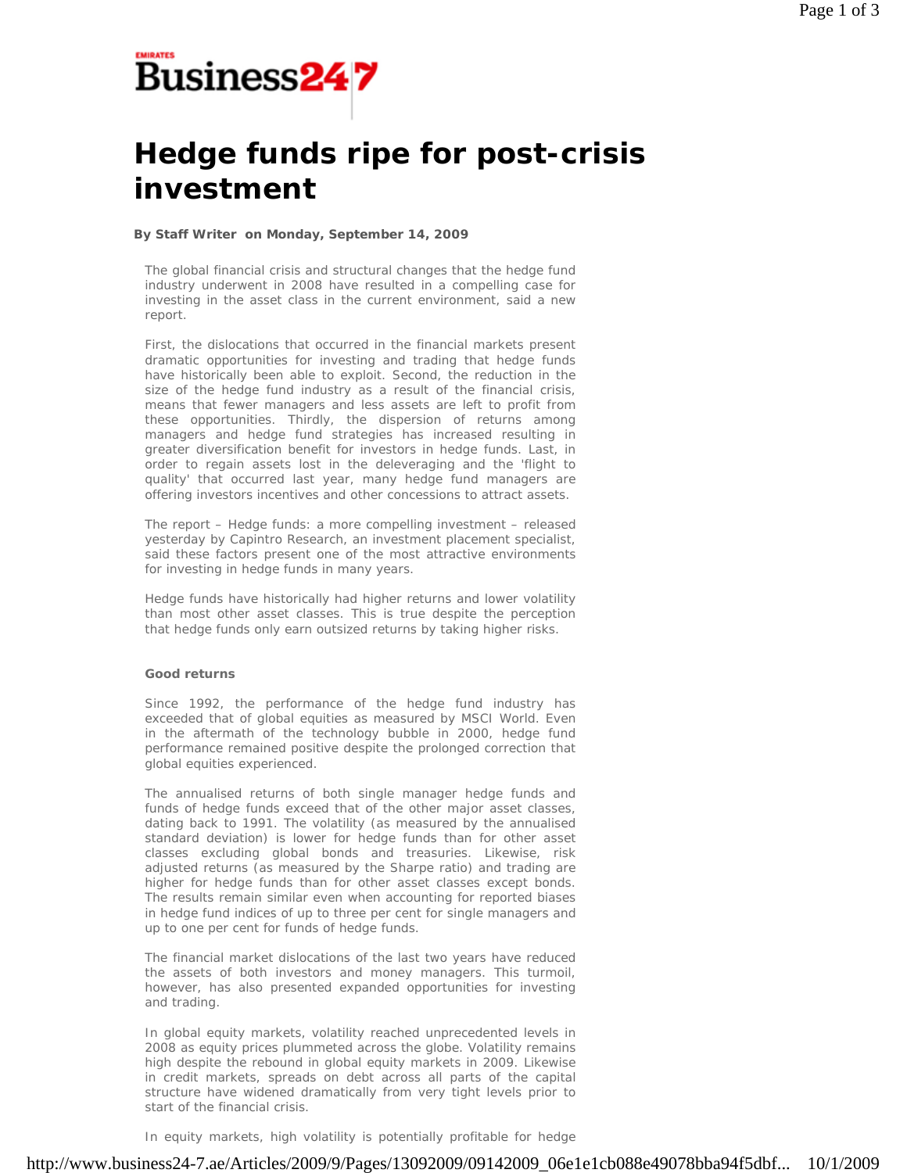

# **Hedge funds ripe for post-crisis investment**

## **By Staff Writer on Monday, September 14, 2009**

The global financial crisis and structural changes that the hedge fund industry underwent in 2008 have resulted in a compelling case for investing in the asset class in the current environment, said a new report.

First, the dislocations that occurred in the financial markets present dramatic opportunities for investing and trading that hedge funds have historically been able to exploit. Second, the reduction in the size of the hedge fund industry as a result of the financial crisis, means that fewer managers and less assets are left to profit from these opportunities. Thirdly, the dispersion of returns among managers and hedge fund strategies has increased resulting in greater diversification benefit for investors in hedge funds. Last, in order to regain assets lost in the deleveraging and the 'flight to quality' that occurred last year, many hedge fund managers are offering investors incentives and other concessions to attract assets.

The report – Hedge funds: a more compelling investment – released yesterday by Capintro Research, an investment placement specialist, said these factors present one of the most attractive environments for investing in hedge funds in many years.

Hedge funds have historically had higher returns and lower volatility than most other asset classes. This is true despite the perception that hedge funds only earn outsized returns by taking higher risks.

## **Good returns**

Since 1992, the performance of the hedge fund industry has exceeded that of global equities as measured by MSCI World. Even in the aftermath of the technology bubble in 2000, hedge fund performance remained positive despite the prolonged correction that global equities experienced.

The annualised returns of both single manager hedge funds and funds of hedge funds exceed that of the other major asset classes, dating back to 1991. The volatility (as measured by the annualised standard deviation) is lower for hedge funds than for other asset classes excluding global bonds and treasuries. Likewise, risk adjusted returns (as measured by the Sharpe ratio) and trading are higher for hedge funds than for other asset classes except bonds. The results remain similar even when accounting for reported biases in hedge fund indices of up to three per cent for single managers and up to one per cent for funds of hedge funds.

The financial market dislocations of the last two years have reduced the assets of both investors and money managers. This turmoil, however, has also presented expanded opportunities for investing and trading.

In global equity markets, volatility reached unprecedented levels in 2008 as equity prices plummeted across the globe. Volatility remains high despite the rebound in global equity markets in 2009. Likewise in credit markets, spreads on debt across all parts of the capital structure have widened dramatically from very tight levels prior to start of the financial crisis.

In equity markets, high volatility is potentially profitable for hedge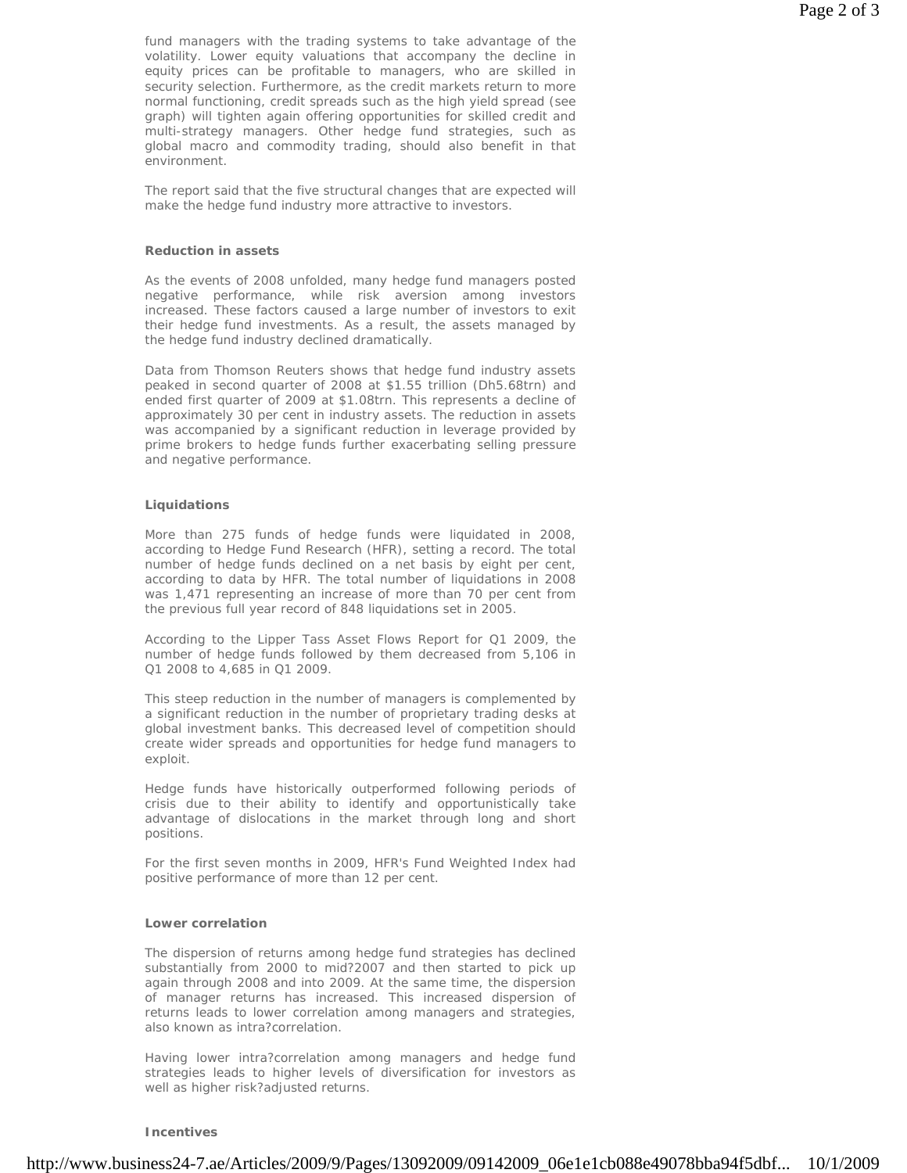fund managers with the trading systems to take advantage of the volatility. Lower equity valuations that accompany the decline in equity prices can be profitable to managers, who are skilled in security selection. Furthermore, as the credit markets return to more normal functioning, credit spreads such as the high yield spread (see graph) will tighten again offering opportunities for skilled credit and multi-strategy managers. Other hedge fund strategies, such as global macro and commodity trading, should also benefit in that environment.

The report said that the five structural changes that are expected will make the hedge fund industry more attractive to investors.

#### **Reduction in assets**

As the events of 2008 unfolded, many hedge fund managers posted negative performance, while risk aversion among investors increased. These factors caused a large number of investors to exit their hedge fund investments. As a result, the assets managed by the hedge fund industry declined dramatically.

Data from Thomson Reuters shows that hedge fund industry assets peaked in second quarter of 2008 at \$1.55 trillion (Dh5.68trn) and ended first quarter of 2009 at \$1.08trn. This represents a decline of approximately 30 per cent in industry assets. The reduction in assets was accompanied by a significant reduction in leverage provided by prime brokers to hedge funds further exacerbating selling pressure and negative performance.

## **Liquidations**

More than 275 funds of hedge funds were liquidated in 2008, according to Hedge Fund Research (HFR), setting a record. The total number of hedge funds declined on a net basis by eight per cent, according to data by HFR. The total number of liquidations in 2008 was 1,471 representing an increase of more than 70 per cent from the previous full year record of 848 liquidations set in 2005.

According to the Lipper Tass Asset Flows Report for Q1 2009, the number of hedge funds followed by them decreased from 5,106 in Q1 2008 to 4,685 in Q1 2009.

This steep reduction in the number of managers is complemented by a significant reduction in the number of proprietary trading desks at global investment banks. This decreased level of competition should create wider spreads and opportunities for hedge fund managers to exploit.

Hedge funds have historically outperformed following periods of crisis due to their ability to identify and opportunistically take advantage of dislocations in the market through long and short positions.

For the first seven months in 2009, HFR's Fund Weighted Index had positive performance of more than 12 per cent.

### **Lower correlation**

The dispersion of returns among hedge fund strategies has declined substantially from 2000 to mid?2007 and then started to pick up again through 2008 and into 2009. At the same time, the dispersion of manager returns has increased. This increased dispersion of returns leads to lower correlation among managers and strategies, also known as intra?correlation.

Having lower intra?correlation among managers and hedge fund strategies leads to higher levels of diversification for investors as well as higher risk?adjusted returns.

#### **Incentives**